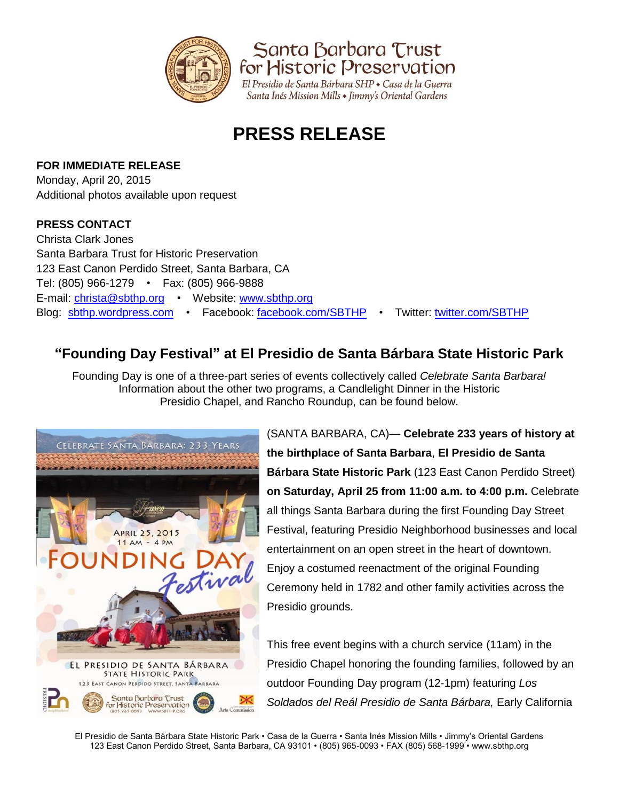

Santa Barbara Trust for Historic Preservation

El Presidio de Santa Bárbara SHP · Casa de la Guerra Santa Inés Mission Mills • Jimmy's Oriental Gardens

# **PRESS RELEASE**

### **FOR IMMEDIATE RELEASE**

Monday, April 20, 2015 Additional photos available upon request

### **PRESS CONTACT**

Christa Clark Jones Santa Barbara Trust for Historic Preservation 123 East Canon Perdido Street, Santa Barbara, CA Tel: (805) 966-1279 • Fax: (805) 966-9888 E-mail: [christa@sbthp.org](mailto:christa@sbthp.org) • Website: [www.sbthp.org](http://www.sbthp.org/) Blog: [sbthp.wordpress.com](http://sbthp.wordpress.com/) • Facebook: [facebook.com/SBTHP](http://www.facebook.com/SBTHP) • Twitter: [twitter.com/SBTHP](http://twitter.com/SBTHP)

## **"Founding Day Festival" at El Presidio de Santa Bárbara State Historic Park**

Founding Day is one of a three-part series of events collectively called *Celebrate Santa Barbara!* Information about the other two programs, a Candlelight Dinner in the Historic Presidio Chapel, and Rancho Roundup, can be found below.



(SANTA BARBARA, CA)— **Celebrate 233 years of history at the birthplace of Santa Barbara**, **El Presidio de Santa Bárbara State Historic Park** (123 East Canon Perdido Street) **on Saturday, April 25 from 11:00 a.m. to 4:00 p.m.** Celebrate all things Santa Barbara during the first Founding Day Street Festival, featuring Presidio Neighborhood businesses and local entertainment on an open street in the heart of downtown. Enjoy a costumed reenactment of the original Founding Ceremony held in 1782 and other family activities across the Presidio grounds.

This free event begins with a church service (11am) in the Presidio Chapel honoring the founding families, followed by an outdoor Founding Day program (12-1pm) featuring *Los Soldados del Reál Presidio de Santa Bárbara,* Early California

El Presidio de Santa Bárbara State Historic Park • Casa de la Guerra • Santa Inés Mission Mills • Jimmy's Oriental Gardens 123 East Canon Perdido Street, Santa Barbara, CA 93101 • (805) 965-0093 • FAX (805) 568-1999 • www.sbthp.org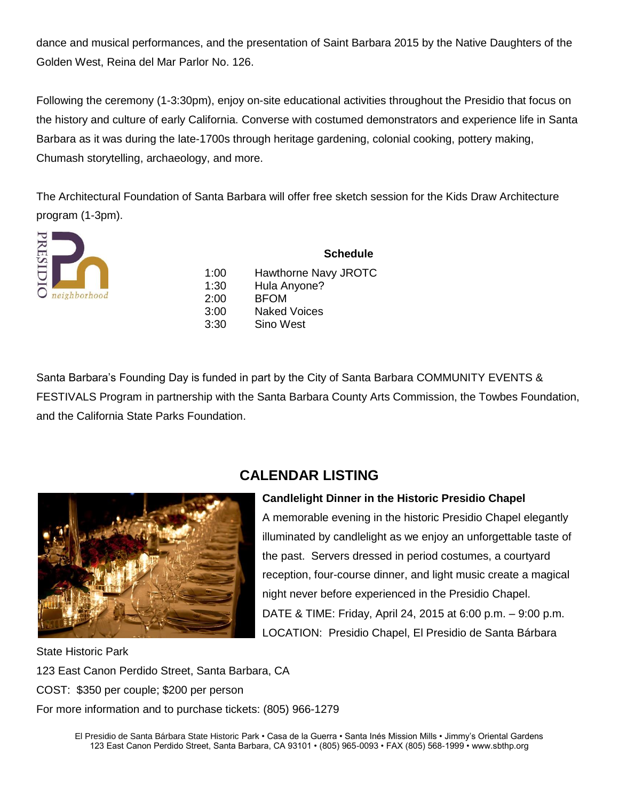dance and musical performances, and the presentation of Saint Barbara 2015 by the Native Daughters of the Golden West, Reina del Mar Parlor No. 126.

Following the ceremony (1-3:30pm), enjoy on-site educational activities throughout the Presidio that focus on the history and culture of early California. Converse with costumed demonstrators and experience life in Santa Barbara as it was during the late-1700s through heritage gardening, colonial cooking, pottery making, Chumash storytelling, archaeology, and more.

The Architectural Foundation of Santa Barbara will offer free sketch session for the Kids Draw Architecture program (1-3pm).



**Schedule** 1:00 Hawthorne Navy JROTC 1:30 Hula Anyone? 2:00 BFOM 3:00 Naked Voices 3:30 Sino West

Santa Barbara's Founding Day is funded in part by the City of Santa Barbara COMMUNITY EVENTS & FESTIVALS Program in partnership with the Santa Barbara County Arts Commission, the Towbes Foundation, and the California State Parks Foundation.



### **CALENDAR LISTING**

**Candlelight Dinner in the Historic Presidio Chapel** A memorable evening in the historic Presidio Chapel elegantly illuminated by candlelight as we enjoy an unforgettable taste of the past. Servers dressed in period costumes, a courtyard reception, four-course dinner, and light music create a magical night never before experienced in the Presidio Chapel. DATE & TIME: Friday, April 24, 2015 at 6:00 p.m. – 9:00 p.m. LOCATION: Presidio Chapel, El Presidio de Santa Bárbara

State Historic Park 123 East Canon Perdido Street, Santa Barbara, CA COST: \$350 per couple; \$200 per person For more information and to purchase tickets: (805) 966-1279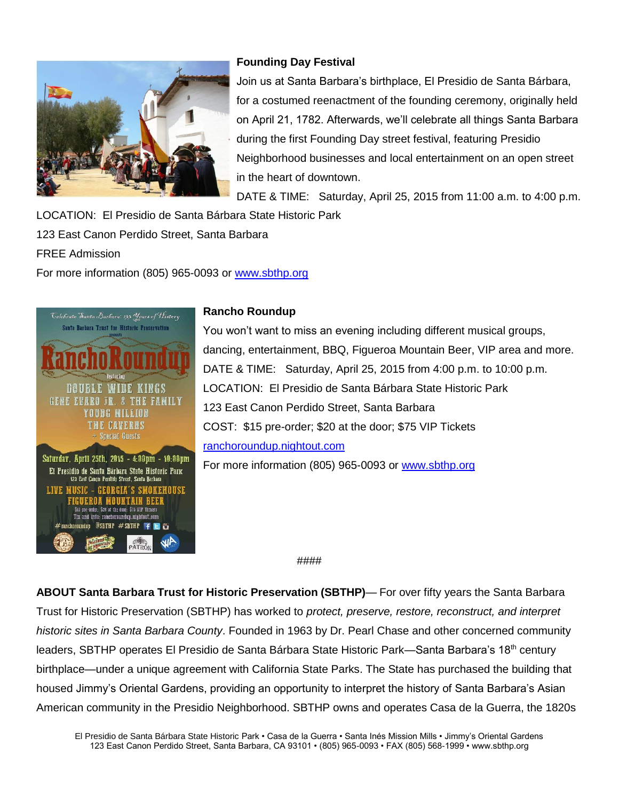

### **Founding Day Festival**

Join us at Santa Barbara's birthplace, El Presidio de Santa Bárbara, for a costumed reenactment of the founding ceremony, originally held on April 21, 1782. Afterwards, we'll celebrate all things Santa Barbara during the first Founding Day street festival, featuring Presidio Neighborhood businesses and local entertainment on an open street in the heart of downtown.

DATE & TIME: Saturday, April 25, 2015 from 11:00 a.m. to 4:00 p.m.

LOCATION: El Presidio de Santa Bárbara State Historic Park

123 East Canon Perdido Street, Santa Barbara

FREE Admission

For more information (805) 965-0093 or<www.sbthp.org>



#### **Rancho Roundup**

You won't want to miss an evening including different musical groups, dancing, entertainment, BBQ, Figueroa Mountain Beer, VIP area and more. DATE & TIME: Saturday, April 25, 2015 from 4:00 p.m. to 10:00 p.m. LOCATION: El Presidio de Santa Bárbara State Historic Park 123 East Canon Perdido Street, Santa Barbara COST: \$15 pre-order; \$20 at the door; \$75 VIP Tickets [ranchoroundup.nightout.com](https://nightout.com/events/ranchoroundup/tickets)

For more information (805) 965-0093 or [www.sbthp.org](file:///C:/Users/christa/Desktop/www.sbthp.org)

####

**ABOUT Santa Barbara Trust for Historic Preservation (SBTHP)**— For over fifty years the Santa Barbara Trust for Historic Preservation (SBTHP) has worked to *protect, preserve, restore, reconstruct, and interpret historic sites in Santa Barbara County*. Founded in 1963 by Dr. Pearl Chase and other concerned community leaders, SBTHP operates El Presidio de Santa Bárbara State Historic Park—Santa Barbara's 18<sup>th</sup> century birthplace—under a unique agreement with California State Parks. The State has purchased the building that housed Jimmy's Oriental Gardens, providing an opportunity to interpret the history of Santa Barbara's Asian American community in the Presidio Neighborhood. SBTHP owns and operates Casa de la Guerra, the 1820s